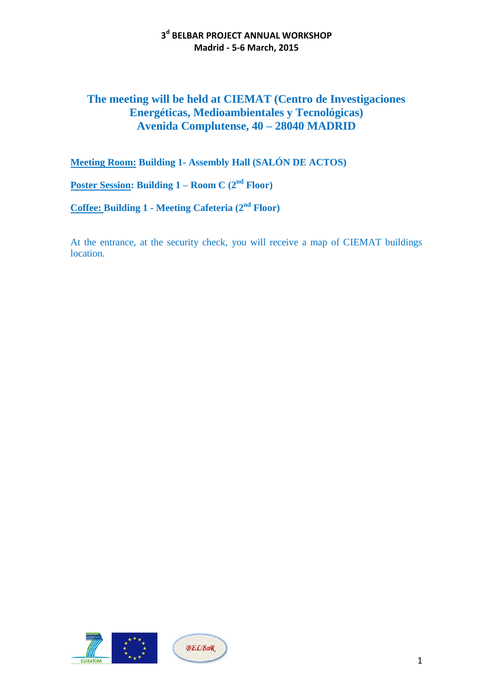## **The meeting will be held at CIEMAT (Centro de Investigaciones Energéticas, Medioambientales y Tecnológicas) Avenida Complutense, 40 – 28040 MADRID**

**Meeting Room: Building 1- Assembly Hall (SALÓN DE ACTOS)**

**Poster Session: Building 1 – Room C (2nd Floor)**

**Coffee: Building 1 - Meeting Cafeteria (2nd Floor)**

At the entrance, at the security check, you will receive a map of CIEMAT buildings location.



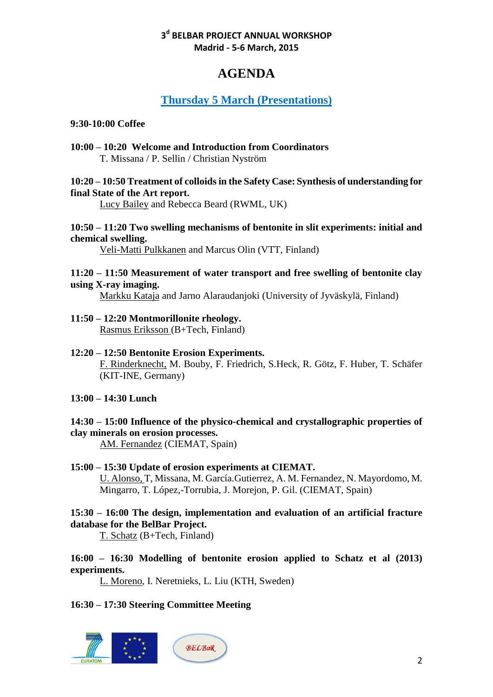# **AGENDA**

# **Thursday 5 March (Presentations)**

#### **9:30-10:00 Coffee**

**10:00 – 10:20 Welcome and Introduction from Coordinators** T. Missana / P. Sellin / Christian Nyström

#### **10:20 – 10:50 Treatment of colloids in the Safety Case: Synthesis of understanding for final State of the Art report.**

Lucy Bailey and Rebecca Beard (RWML, UK)

#### **10:50 – 11:20 Two swelling mechanisms of bentonite in slit experiments: initial and chemical swelling.**

Veli-Matti Pulkkanen and Marcus Olin (VTT, Finland)

#### **11:20 – 11:50 Measurement of water transport and free swelling of bentonite clay using X-ray imaging.**

Markku Kataja and Jarno Alaraudanjoki (University of Jyväskylä, Finland)

#### **11:50 – 12:20 Montmorillonite rheology.**  Rasmus Eriksson (B+Tech, Finland)

#### **12:20 – 12:50 Bentonite Erosion Experiments.**  F. Rinderknecht, M. Bouby, F. Friedrich, S.Heck, R. Götz, F. Huber, T. Schäfer (KIT-INE, Germany)

#### **13:00 – 14:30 Lunch**

### **14:30 – 15:00 Influence of the physico-chemical and crystallographic properties of clay minerals on erosion processes.**

AM. Fernandez (CIEMAT, Spain)

#### **15:00 – 15:30 Update of erosion experiments at CIEMAT.** U. Alonso, T, Missana, M. García.Gutierrez, A. M. Fernandez, N. Mayordomo, M. Mingarro, T. López,-Torrubia, J. Morejon, P. Gil. (CIEMAT, Spain)

### **15:30 – 16:00 The design, implementation and evaluation of an artificial fracture database for the BelBar Project.**

T. Schatz (B+Tech, Finland)

### **16:00 – 16:30 Modelling of bentonite erosion applied to Schatz et al (2013) experiments.**

L. Moreno, I. Neretnieks, L. Liu (KTH, Sweden)

**16:30 – 17:30 Steering Committee Meeting**

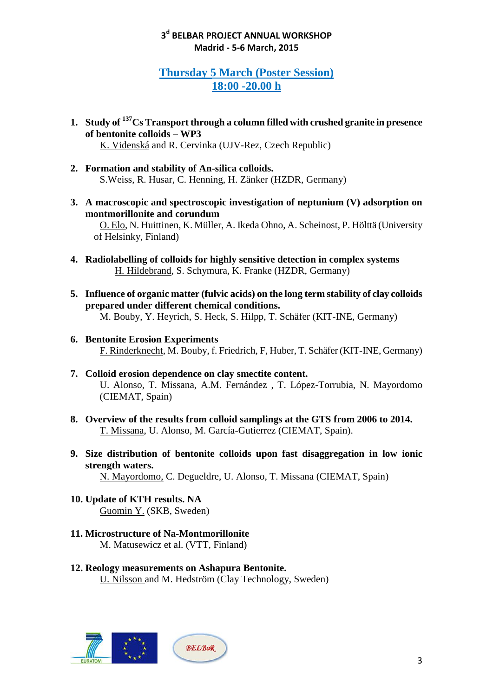# **Thursday 5 March (Poster Session) 18:00 -20.00 h**

- **1. Study of <sup>137</sup>Cs Transport through a column filled with crushed granite in presence of bentonite colloids – WP3**  K. Videnská and R. Cervinka (UJV-Rez, Czech Republic)
- **2. Formation and stability of An-silica colloids.**  S.Weiss, R. Husar, C. Henning, H. Zänker (HZDR, Germany)
- **3. A macroscopic and spectroscopic investigation of neptunium (V) adsorption on montmorillonite and corundum** O. Elo, N. Huittinen, K. Müller, A. Ikeda Ohno, A. Scheinost, P. Hölttä (University of Helsinky, Finland)
- **4. Radiolabelling of colloids for highly sensitive detection in complex systems**  H. Hildebrand, S. Schymura, K. Franke (HZDR, Germany)
- **5. Influence of organic matter (fulvic acids) on the long term stability of clay colloids prepared under different chemical conditions.**  M. Bouby, Y. Heyrich, S. Heck, S. Hilpp, T. Schäfer (KIT-INE, Germany)
- **6. Bentonite Erosion Experiments**  F. Rinderknecht, M. Bouby, f. Friedrich, F, Huber, T. Schäfer (KIT-INE, Germany)
- **7. Colloid erosion dependence on clay smectite content.** U. Alonso, T. Missana, A.M. Fernández , T. López-Torrubia, N. Mayordomo (CIEMAT, Spain)
- **8. Overview of the results from colloid samplings at the GTS from 2006 to 2014.**  T. Missana, U. Alonso, M. García-Gutierrez (CIEMAT, Spain).
- **9. Size distribution of bentonite colloids upon fast disaggregation in low ionic strength waters.**

N. Mayordomo, C. Degueldre, U. Alonso, T. Missana (CIEMAT, Spain)

- **10. Update of KTH results. NA** Guomin Y. (SKB, Sweden)
- **11. Microstructure of Na-Montmorillonite** M. Matusewicz et al. (VTT, Finland)
- **12. Reology measurements on Ashapura Bentonite.** U. Nilsson and M. Hedström (Clay Technology, Sweden)